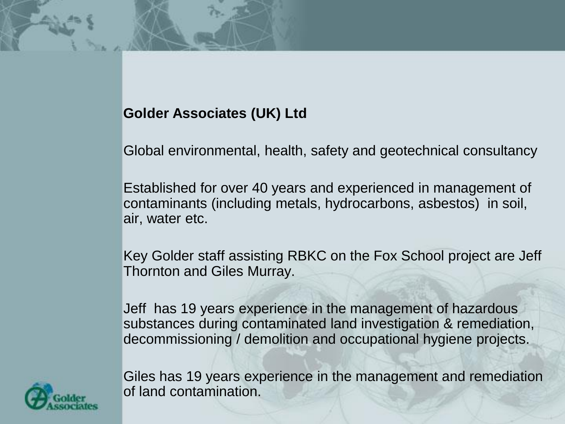#### **Golder Associates (UK) Ltd**

Global environmental, health, safety and geotechnical consultancy

Established for over 40 years and experienced in management of contaminants (including metals, hydrocarbons, asbestos) in soil, air, water etc.

Key Golder staff assisting RBKC on the Fox School project are Jeff Thornton and Giles Murray.

Jeff has 19 years experience in the management of hazardous substances during contaminated land investigation & remediation, decommissioning / demolition and occupational hygiene projects.



Giles has 19 years experience in the management and remediation of land contamination.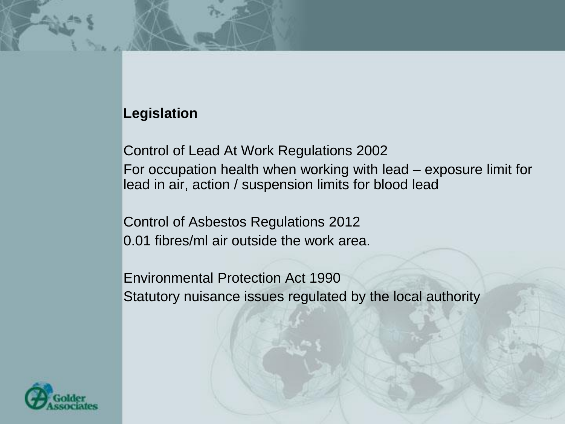#### **Legislation**

Control of Lead At Work Regulations 2002 For occupation health when working with lead – exposure limit for lead in air, action / suspension limits for blood lead

Control of Asbestos Regulations 2012 0.01 fibres/ml air outside the work area.

Environmental Protection Act 1990 Statutory nuisance issues regulated by the local authority